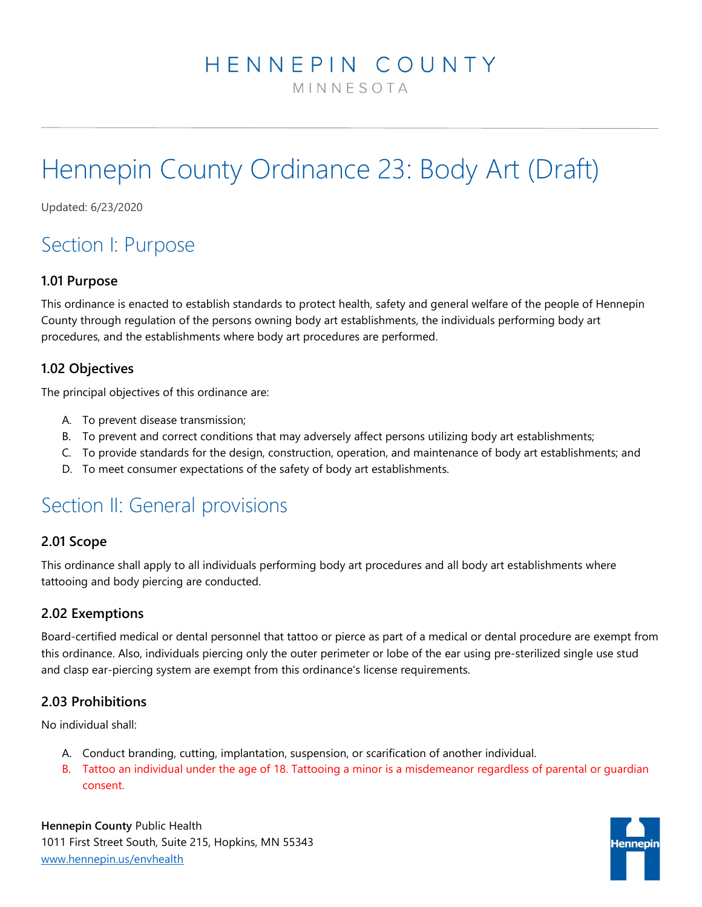# HENNEPIN COUNTY

MINNESOTA

# Hennepin County Ordinance 23: Body Art (Draft)

Updated: 6/23/2020

# Section I: Purpose

### 1.01 Purpose

This ordinance is enacted to establish standards to protect health, safety and general welfare of the people of Hennepin County through regulation of the persons owning body art establishments, the individuals performing body art procedures, and the establishments where body art procedures are performed.

# 1.02 Objectives

The principal objectives of this ordinance are:

- A. To prevent disease transmission;
- B. To prevent and correct conditions that may adversely affect persons utilizing body art establishments;
- C. To provide standards for the design, construction, operation, and maintenance of body art establishments; and
- D. To meet consumer expectations of the safety of body art establishments.

# Section II: General provisions

### 2.01 Scope

This ordinance shall apply to all individuals performing body art procedures and all body art establishments where tattooing and body piercing are conducted.

# 2.02 Exemptions

Board-certified medical or dental personnel that tattoo or pierce as part of a medical or dental procedure are exempt from this ordinance. Also, individuals piercing only the outer perimeter or lobe of the ear using pre-sterilized single use stud and clasp ear-piercing system are exempt from this ordinance's license requirements.

# 2.03 Prohibitions

No individual shall:

- A. Conduct branding, cutting, implantation, suspension, or scarification of another individual.
- B. Tattoo an individual under the age of 18. Tattooing a minor is a misdemeanor regardless of parental or guardian consent.

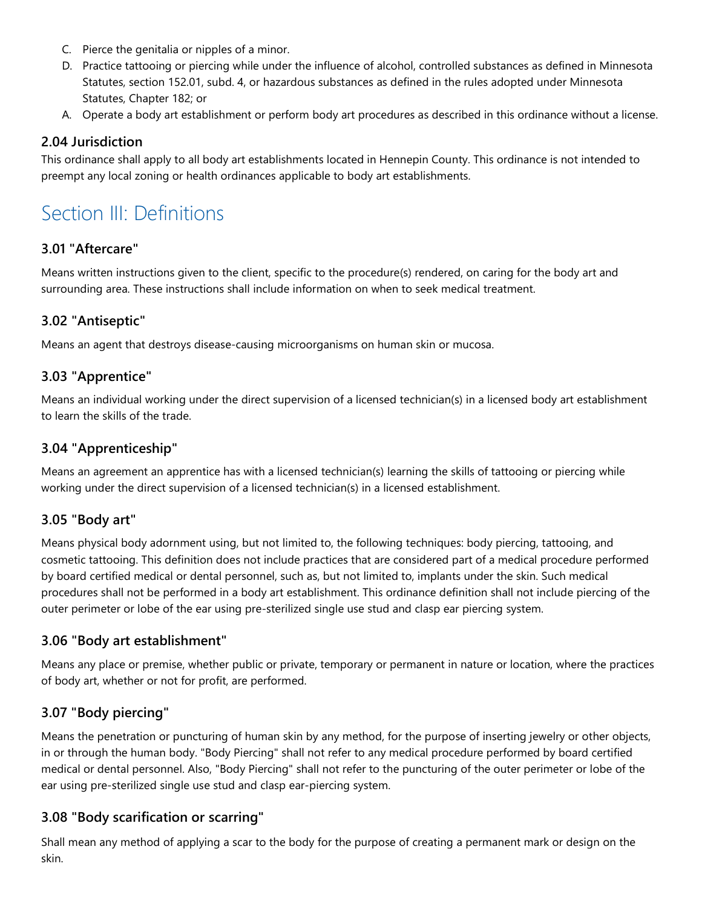- C. Pierce the genitalia or nipples of a minor.
- D. Practice tattooing or piercing while under the influence of alcohol, controlled substances as defined in Minnesota Statutes, section 152.01, subd. 4, or hazardous substances as defined in the rules adopted under Minnesota Statutes, Chapter 182; or
- A. Operate a body art establishment or perform body art procedures as described in this ordinance without a license.

### 2.04 Jurisdiction

This ordinance shall apply to all body art establishments located in Hennepin County. This ordinance is not intended to preempt any local zoning or health ordinances applicable to body art establishments.

# Section III: Definitions

#### 3.01 "Aftercare"

Means written instructions given to the client, specific to the procedure(s) rendered, on caring for the body art and surrounding area. These instructions shall include information on when to seek medical treatment.

### 3.02 "Antiseptic"

Means an agent that destroys disease-causing microorganisms on human skin or mucosa.

### 3.03 "Apprentice"

Means an individual working under the direct supervision of a licensed technician(s) in a licensed body art establishment to learn the skills of the trade.

#### 3.04 "Apprenticeship"

Means an agreement an apprentice has with a licensed technician(s) learning the skills of tattooing or piercing while working under the direct supervision of a licensed technician(s) in a licensed establishment.

### 3.05 "Body art"

Means physical body adornment using, but not limited to, the following techniques: body piercing, tattooing, and cosmetic tattooing. This definition does not include practices that are considered part of a medical procedure performed by board certified medical or dental personnel, such as, but not limited to, implants under the skin. Such medical procedures shall not be performed in a body art establishment. This ordinance definition shall not include piercing of the outer perimeter or lobe of the ear using pre-sterilized single use stud and clasp ear piercing system.

#### 3.06 "Body art establishment"

Means any place or premise, whether public or private, temporary or permanent in nature or location, where the practices of body art, whether or not for profit, are performed.

### 3.07 "Body piercing"

Means the penetration or puncturing of human skin by any method, for the purpose of inserting jewelry or other objects, in or through the human body. "Body Piercing" shall not refer to any medical procedure performed by board certified medical or dental personnel. Also, "Body Piercing" shall not refer to the puncturing of the outer perimeter or lobe of the ear using pre-sterilized single use stud and clasp ear-piercing system.

#### 3.08 "Body scarification or scarring"

Shall mean any method of applying a scar to the body for the purpose of creating a permanent mark or design on the skin.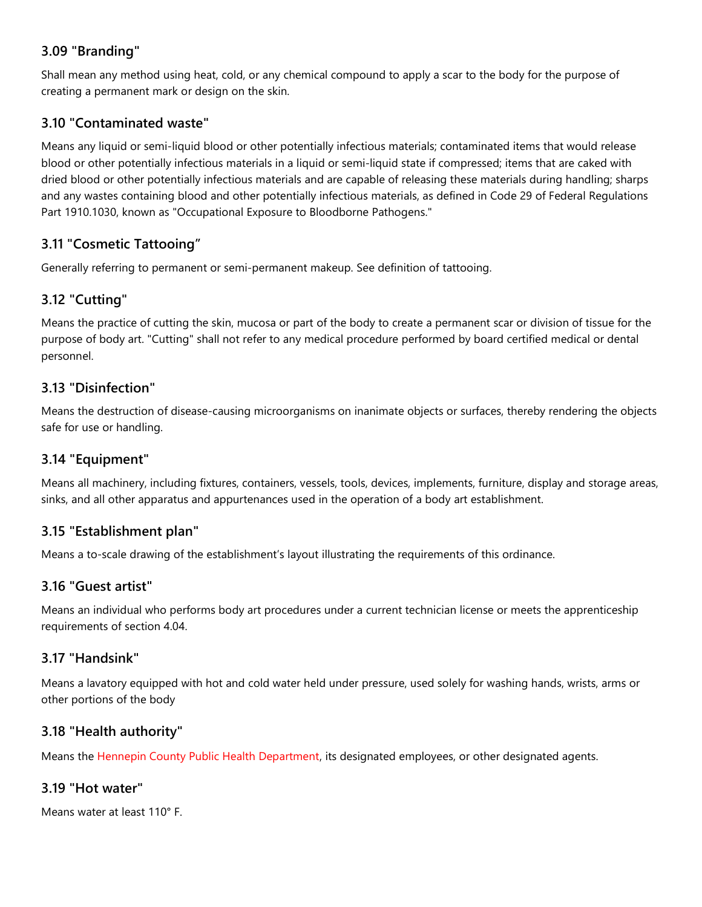# 3.09 "Branding"

Shall mean any method using heat, cold, or any chemical compound to apply a scar to the body for the purpose of creating a permanent mark or design on the skin.

### 3.10 "Contaminated waste"

Means any liquid or semi-liquid blood or other potentially infectious materials; contaminated items that would release blood or other potentially infectious materials in a liquid or semi-liquid state if compressed; items that are caked with dried blood or other potentially infectious materials and are capable of releasing these materials during handling; sharps and any wastes containing blood and other potentially infectious materials, as defined in Code 29 of Federal Regulations Part 1910.1030, known as "Occupational Exposure to Bloodborne Pathogens."

# 3.11 "Cosmetic Tattooing"

Generally referring to permanent or semi-permanent makeup. See definition of tattooing.

# 3.12 "Cutting"

Means the practice of cutting the skin, mucosa or part of the body to create a permanent scar or division of tissue for the purpose of body art. "Cutting" shall not refer to any medical procedure performed by board certified medical or dental personnel.

### 3.13 "Disinfection"

Means the destruction of disease-causing microorganisms on inanimate objects or surfaces, thereby rendering the objects safe for use or handling.

### 3.14 "Equipment"

Means all machinery, including fixtures, containers, vessels, tools, devices, implements, furniture, display and storage areas, sinks, and all other apparatus and appurtenances used in the operation of a body art establishment.

### 3.15 "Establishment plan"

Means a to-scale drawing of the establishment's layout illustrating the requirements of this ordinance.

### 3.16 "Guest artist"

Means an individual who performs body art procedures under a current technician license or meets the apprenticeship requirements of section 4.04.

### 3.17 "Handsink"

Means a lavatory equipped with hot and cold water held under pressure, used solely for washing hands, wrists, arms or other portions of the body

### 3.18 "Health authority"

Means the Hennepin County Public Health Department, its designated employees, or other designated agents.

# 3.19 "Hot water"

Means water at least 110° F.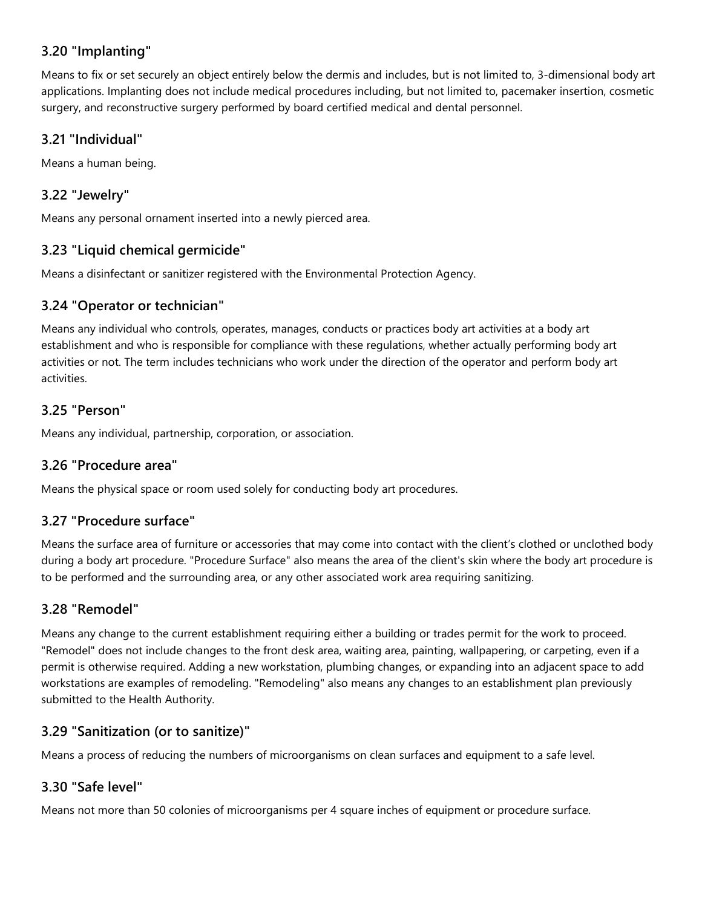# 3.20 "Implanting"

Means to fix or set securely an object entirely below the dermis and includes, but is not limited to, 3-dimensional body art applications. Implanting does not include medical procedures including, but not limited to, pacemaker insertion, cosmetic surgery, and reconstructive surgery performed by board certified medical and dental personnel.

### 3.21 "Individual"

Means a human being.

### 3.22 "Jewelry"

Means any personal ornament inserted into a newly pierced area.

### 3.23 "Liquid chemical germicide"

Means a disinfectant or sanitizer registered with the Environmental Protection Agency.

### 3.24 "Operator or technician"

Means any individual who controls, operates, manages, conducts or practices body art activities at a body art establishment and who is responsible for compliance with these regulations, whether actually performing body art activities or not. The term includes technicians who work under the direction of the operator and perform body art activities.

### 3.25 "Person"

Means any individual, partnership, corporation, or association.

### 3.26 "Procedure area"

Means the physical space or room used solely for conducting body art procedures.

# 3.27 "Procedure surface"

Means the surface area of furniture or accessories that may come into contact with the client's clothed or unclothed body during a body art procedure. "Procedure Surface" also means the area of the client's skin where the body art procedure is to be performed and the surrounding area, or any other associated work area requiring sanitizing.

### 3.28 "Remodel"

Means any change to the current establishment requiring either a building or trades permit for the work to proceed. "Remodel" does not include changes to the front desk area, waiting area, painting, wallpapering, or carpeting, even if a permit is otherwise required. Adding a new workstation, plumbing changes, or expanding into an adjacent space to add workstations are examples of remodeling. "Remodeling" also means any changes to an establishment plan previously submitted to the Health Authority.

# 3.29 "Sanitization (or to sanitize)"

Means a process of reducing the numbers of microorganisms on clean surfaces and equipment to a safe level.

# 3.30 "Safe level"

Means not more than 50 colonies of microorganisms per 4 square inches of equipment or procedure surface.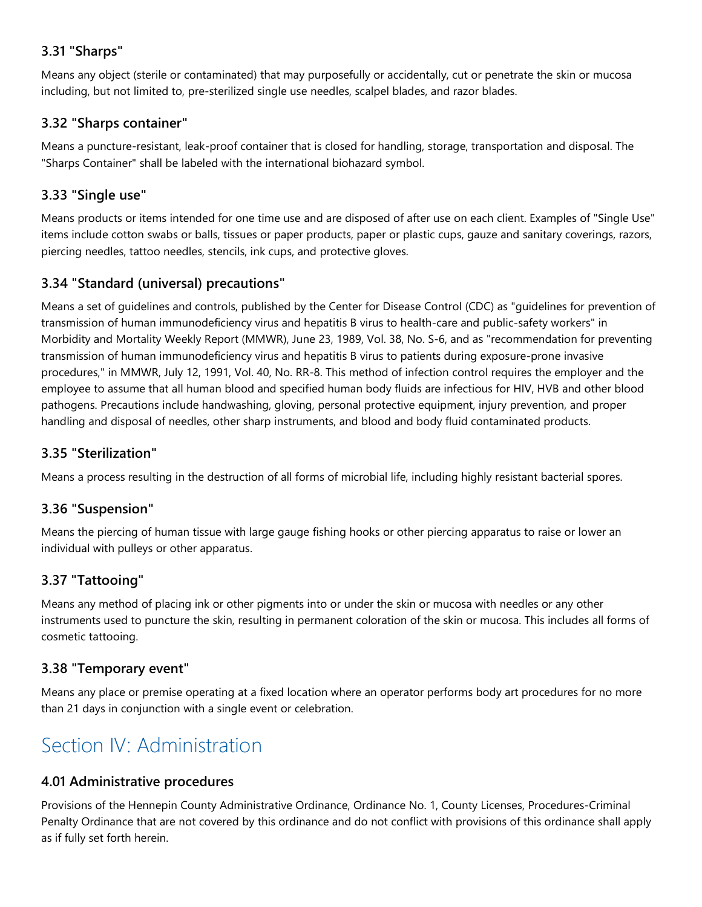# 3.31 "Sharps"

Means any object (sterile or contaminated) that may purposefully or accidentally, cut or penetrate the skin or mucosa including, but not limited to, pre-sterilized single use needles, scalpel blades, and razor blades.

### 3.32 "Sharps container"

Means a puncture-resistant, leak-proof container that is closed for handling, storage, transportation and disposal. The "Sharps Container" shall be labeled with the international biohazard symbol.

### 3.33 "Single use"

Means products or items intended for one time use and are disposed of after use on each client. Examples of "Single Use" items include cotton swabs or balls, tissues or paper products, paper or plastic cups, gauze and sanitary coverings, razors, piercing needles, tattoo needles, stencils, ink cups, and protective gloves.

# 3.34 "Standard (universal) precautions"

Means a set of guidelines and controls, published by the Center for Disease Control (CDC) as "guidelines for prevention of transmission of human immunodeficiency virus and hepatitis B virus to health-care and public-safety workers" in Morbidity and Mortality Weekly Report (MMWR), June 23, 1989, Vol. 38, No. S-6, and as "recommendation for preventing transmission of human immunodeficiency virus and hepatitis B virus to patients during exposure-prone invasive procedures," in MMWR, July 12, 1991, Vol. 40, No. RR-8. This method of infection control requires the employer and the employee to assume that all human blood and specified human body fluids are infectious for HIV, HVB and other blood pathogens. Precautions include handwashing, gloving, personal protective equipment, injury prevention, and proper handling and disposal of needles, other sharp instruments, and blood and body fluid contaminated products.

### 3.35 "Sterilization"

Means a process resulting in the destruction of all forms of microbial life, including highly resistant bacterial spores.

# 3.36 "Suspension"

Means the piercing of human tissue with large gauge fishing hooks or other piercing apparatus to raise or lower an individual with pulleys or other apparatus.

# 3.37 "Tattooing"

Means any method of placing ink or other pigments into or under the skin or mucosa with needles or any other instruments used to puncture the skin, resulting in permanent coloration of the skin or mucosa. This includes all forms of cosmetic tattooing.

# 3.38 "Temporary event"

Means any place or premise operating at a fixed location where an operator performs body art procedures for no more than 21 days in conjunction with a single event or celebration.

# Section IV: Administration

### 4.01 Administrative procedures

Provisions of the Hennepin County Administrative Ordinance, Ordinance No. 1, County Licenses, Procedures-Criminal Penalty Ordinance that are not covered by this ordinance and do not conflict with provisions of this ordinance shall apply as if fully set forth herein.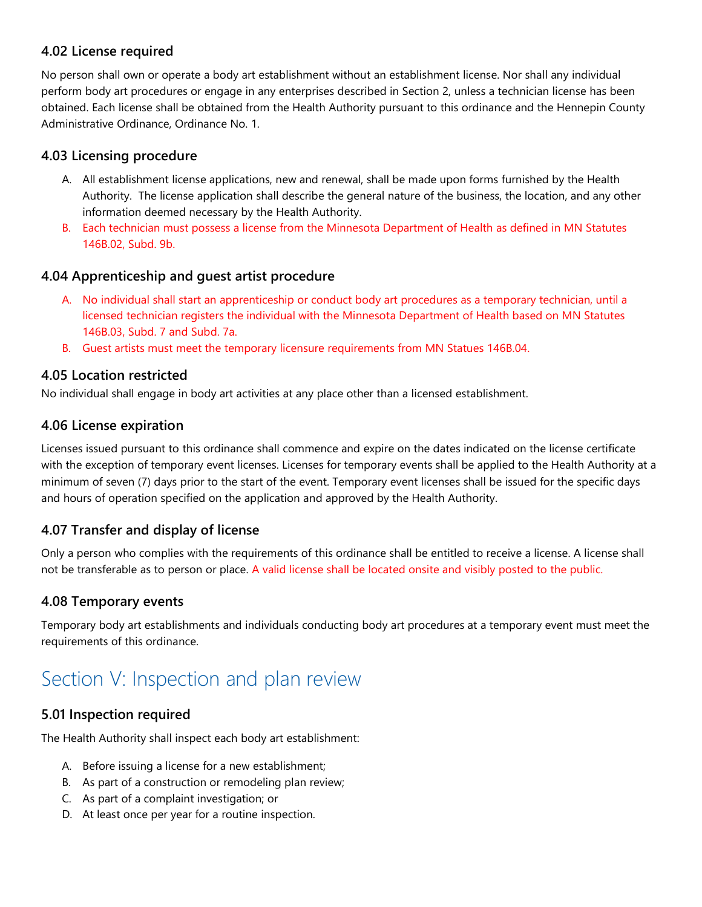### 4.02 License required

No person shall own or operate a body art establishment without an establishment license. Nor shall any individual perform body art procedures or engage in any enterprises described in Section 2, unless a technician license has been obtained. Each license shall be obtained from the Health Authority pursuant to this ordinance and the Hennepin County Administrative Ordinance, Ordinance No. 1.

### 4.03 Licensing procedure

- A. All establishment license applications, new and renewal, shall be made upon forms furnished by the Health Authority. The license application shall describe the general nature of the business, the location, and any other information deemed necessary by the Health Authority.
- B. Each technician must possess a license from the Minnesota Department of Health as defined in MN Statutes 146B.02, Subd. 9b.

### 4.04 Apprenticeship and guest artist procedure

- A. No individual shall start an apprenticeship or conduct body art procedures as a temporary technician, until a licensed technician registers the individual with the Minnesota Department of Health based on MN Statutes 146B.03, Subd. 7 and Subd. 7a.
- B. Guest artists must meet the temporary licensure requirements from MN Statues 146B.04.

### 4.05 Location restricted

No individual shall engage in body art activities at any place other than a licensed establishment.

### 4.06 License expiration

Licenses issued pursuant to this ordinance shall commence and expire on the dates indicated on the license certificate with the exception of temporary event licenses. Licenses for temporary events shall be applied to the Health Authority at a minimum of seven (7) days prior to the start of the event. Temporary event licenses shall be issued for the specific days and hours of operation specified on the application and approved by the Health Authority.

### 4.07 Transfer and display of license

Only a person who complies with the requirements of this ordinance shall be entitled to receive a license. A license shall not be transferable as to person or place. A valid license shall be located onsite and visibly posted to the public.

### 4.08 Temporary events

Temporary body art establishments and individuals conducting body art procedures at a temporary event must meet the requirements of this ordinance.

# Section V: Inspection and plan review

### 5.01 Inspection required

The Health Authority shall inspect each body art establishment:

- A. Before issuing a license for a new establishment;
- B. As part of a construction or remodeling plan review;
- C. As part of a complaint investigation; or
- D. At least once per year for a routine inspection.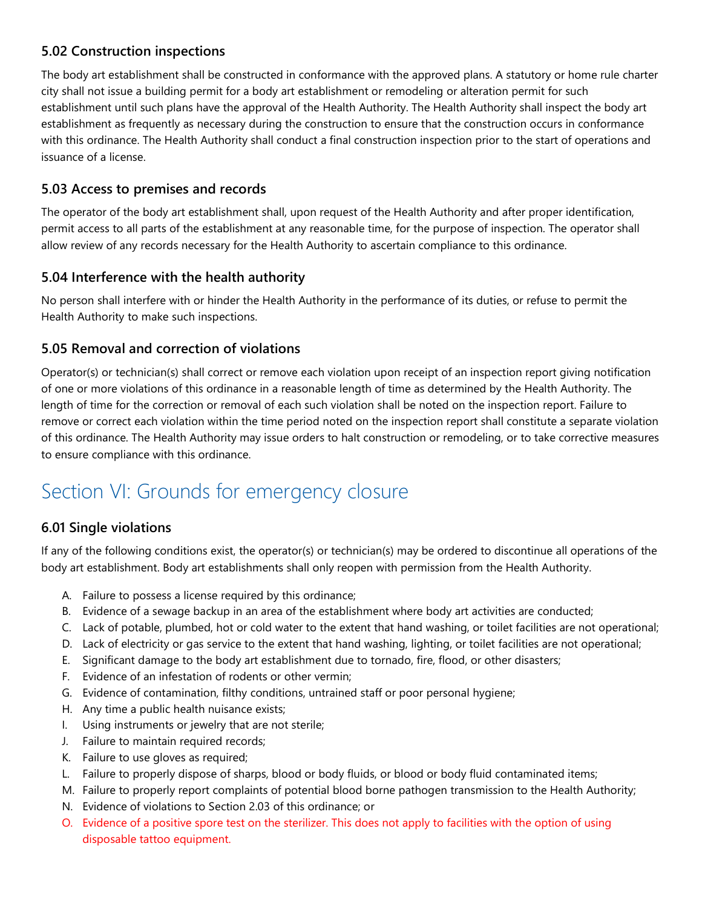# 5.02 Construction inspections

The body art establishment shall be constructed in conformance with the approved plans. A statutory or home rule charter city shall not issue a building permit for a body art establishment or remodeling or alteration permit for such establishment until such plans have the approval of the Health Authority. The Health Authority shall inspect the body art establishment as frequently as necessary during the construction to ensure that the construction occurs in conformance with this ordinance. The Health Authority shall conduct a final construction inspection prior to the start of operations and issuance of a license.

### 5.03 Access to premises and records

The operator of the body art establishment shall, upon request of the Health Authority and after proper identification, permit access to all parts of the establishment at any reasonable time, for the purpose of inspection. The operator shall allow review of any records necessary for the Health Authority to ascertain compliance to this ordinance.

### 5.04 Interference with the health authority

No person shall interfere with or hinder the Health Authority in the performance of its duties, or refuse to permit the Health Authority to make such inspections.

### 5.05 Removal and correction of violations

Operator(s) or technician(s) shall correct or remove each violation upon receipt of an inspection report giving notification of one or more violations of this ordinance in a reasonable length of time as determined by the Health Authority. The length of time for the correction or removal of each such violation shall be noted on the inspection report. Failure to remove or correct each violation within the time period noted on the inspection report shall constitute a separate violation of this ordinance. The Health Authority may issue orders to halt construction or remodeling, or to take corrective measures to ensure compliance with this ordinance.

# Section VI: Grounds for emergency closure

# 6.01 Single violations

If any of the following conditions exist, the operator(s) or technician(s) may be ordered to discontinue all operations of the body art establishment. Body art establishments shall only reopen with permission from the Health Authority.

- A. Failure to possess a license required by this ordinance;
- B. Evidence of a sewage backup in an area of the establishment where body art activities are conducted;
- C. Lack of potable, plumbed, hot or cold water to the extent that hand washing, or toilet facilities are not operational;
- D. Lack of electricity or gas service to the extent that hand washing, lighting, or toilet facilities are not operational;
- E. Significant damage to the body art establishment due to tornado, fire, flood, or other disasters;
- F. Evidence of an infestation of rodents or other vermin;
- G. Evidence of contamination, filthy conditions, untrained staff or poor personal hygiene;
- H. Any time a public health nuisance exists;
- I. Using instruments or jewelry that are not sterile;
- J. Failure to maintain required records;
- K. Failure to use gloves as required;
- L. Failure to properly dispose of sharps, blood or body fluids, or blood or body fluid contaminated items;
- M. Failure to properly report complaints of potential blood borne pathogen transmission to the Health Authority;
- N. Evidence of violations to Section 2.03 of this ordinance; or
- O. Evidence of a positive spore test on the sterilizer. This does not apply to facilities with the option of using disposable tattoo equipment.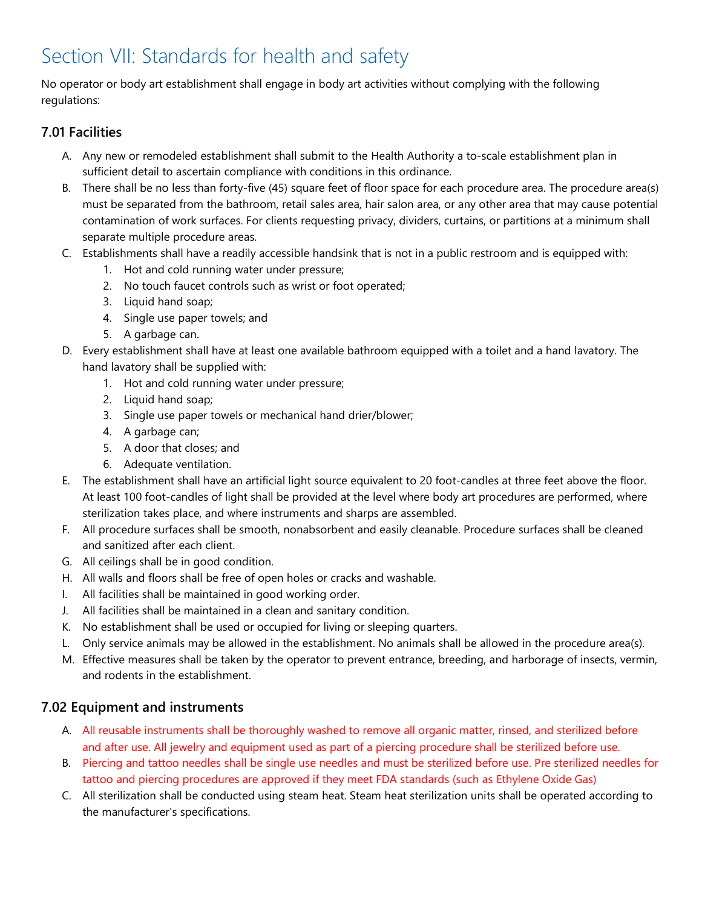# Section VII: Standards for health and safety

No operator or body art establishment shall engage in body art activities without complying with the following regulations:

# 7.01 Facilities

- A. Any new or remodeled establishment shall submit to the Health Authority a to-scale establishment plan in sufficient detail to ascertain compliance with conditions in this ordinance.
- B. There shall be no less than forty-five (45) square feet of floor space for each procedure area. The procedure area(s) must be separated from the bathroom, retail sales area, hair salon area, or any other area that may cause potential contamination of work surfaces. For clients requesting privacy, dividers, curtains, or partitions at a minimum shall separate multiple procedure areas.
- C. Establishments shall have a readily accessible handsink that is not in a public restroom and is equipped with:
	- 1. Hot and cold running water under pressure;
	- 2. No touch faucet controls such as wrist or foot operated;
	- 3. Liquid hand soap;
	- 4. Single use paper towels; and
	- 5. A garbage can.
- D. Every establishment shall have at least one available bathroom equipped with a toilet and a hand lavatory. The hand lavatory shall be supplied with:
	- 1. Hot and cold running water under pressure;
	- 2. Liquid hand soap;
	- 3. Single use paper towels or mechanical hand drier/blower;
	- 4. A garbage can;
	- 5. A door that closes; and
	- 6. Adequate ventilation.
- E. The establishment shall have an artificial light source equivalent to 20 foot-candles at three feet above the floor. At least 100 foot-candles of light shall be provided at the level where body art procedures are performed, where sterilization takes place, and where instruments and sharps are assembled.
- F. All procedure surfaces shall be smooth, nonabsorbent and easily cleanable. Procedure surfaces shall be cleaned and sanitized after each client.
- G. All ceilings shall be in good condition.
- H. All walls and floors shall be free of open holes or cracks and washable.
- I. All facilities shall be maintained in good working order.
- J. All facilities shall be maintained in a clean and sanitary condition.
- K. No establishment shall be used or occupied for living or sleeping quarters.
- L. Only service animals may be allowed in the establishment. No animals shall be allowed in the procedure area(s).
- M. Effective measures shall be taken by the operator to prevent entrance, breeding, and harborage of insects, vermin, and rodents in the establishment.

# 7.02 Equipment and instruments

- A. All reusable instruments shall be thoroughly washed to remove all organic matter, rinsed, and sterilized before and after use. All jewelry and equipment used as part of a piercing procedure shall be sterilized before use.
- B. Piercing and tattoo needles shall be single use needles and must be sterilized before use. Pre sterilized needles for tattoo and piercing procedures are approved if they meet FDA standards (such as Ethylene Oxide Gas)
- C. All sterilization shall be conducted using steam heat. Steam heat sterilization units shall be operated according to the manufacturer's specifications.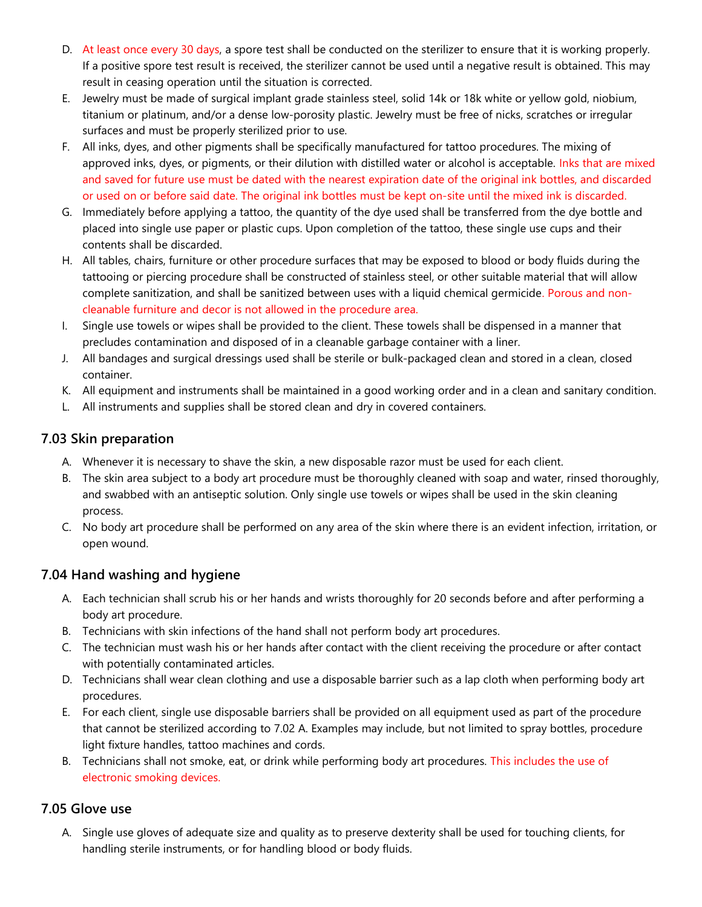- D. At least once every 30 days, a spore test shall be conducted on the sterilizer to ensure that it is working properly. If a positive spore test result is received, the sterilizer cannot be used until a negative result is obtained. This may result in ceasing operation until the situation is corrected.
- E. Jewelry must be made of surgical implant grade stainless steel, solid 14k or 18k white or yellow gold, niobium, titanium or platinum, and/or a dense low-porosity plastic. Jewelry must be free of nicks, scratches or irregular surfaces and must be properly sterilized prior to use.
- F. All inks, dyes, and other pigments shall be specifically manufactured for tattoo procedures. The mixing of approved inks, dyes, or pigments, or their dilution with distilled water or alcohol is acceptable. Inks that are mixed and saved for future use must be dated with the nearest expiration date of the original ink bottles, and discarded or used on or before said date. The original ink bottles must be kept on-site until the mixed ink is discarded.
- G. Immediately before applying a tattoo, the quantity of the dye used shall be transferred from the dye bottle and placed into single use paper or plastic cups. Upon completion of the tattoo, these single use cups and their contents shall be discarded.
- H. All tables, chairs, furniture or other procedure surfaces that may be exposed to blood or body fluids during the tattooing or piercing procedure shall be constructed of stainless steel, or other suitable material that will allow complete sanitization, and shall be sanitized between uses with a liquid chemical germicide. Porous and noncleanable furniture and decor is not allowed in the procedure area.
- I. Single use towels or wipes shall be provided to the client. These towels shall be dispensed in a manner that precludes contamination and disposed of in a cleanable garbage container with a liner.
- J. All bandages and surgical dressings used shall be sterile or bulk-packaged clean and stored in a clean, closed container.
- K. All equipment and instruments shall be maintained in a good working order and in a clean and sanitary condition.
- L. All instruments and supplies shall be stored clean and dry in covered containers.

### 7.03 Skin preparation

- A. Whenever it is necessary to shave the skin, a new disposable razor must be used for each client.
- B. The skin area subject to a body art procedure must be thoroughly cleaned with soap and water, rinsed thoroughly, and swabbed with an antiseptic solution. Only single use towels or wipes shall be used in the skin cleaning process.
- C. No body art procedure shall be performed on any area of the skin where there is an evident infection, irritation, or open wound.

# 7.04 Hand washing and hygiene

- A. Each technician shall scrub his or her hands and wrists thoroughly for 20 seconds before and after performing a body art procedure.
- B. Technicians with skin infections of the hand shall not perform body art procedures.
- C. The technician must wash his or her hands after contact with the client receiving the procedure or after contact with potentially contaminated articles.
- D. Technicians shall wear clean clothing and use a disposable barrier such as a lap cloth when performing body art procedures.
- E. For each client, single use disposable barriers shall be provided on all equipment used as part of the procedure that cannot be sterilized according to 7.02 A. Examples may include, but not limited to spray bottles, procedure light fixture handles, tattoo machines and cords.
- B. Technicians shall not smoke, eat, or drink while performing body art procedures. This includes the use of electronic smoking devices.

# 7.05 Glove use

A. Single use gloves of adequate size and quality as to preserve dexterity shall be used for touching clients, for handling sterile instruments, or for handling blood or body fluids.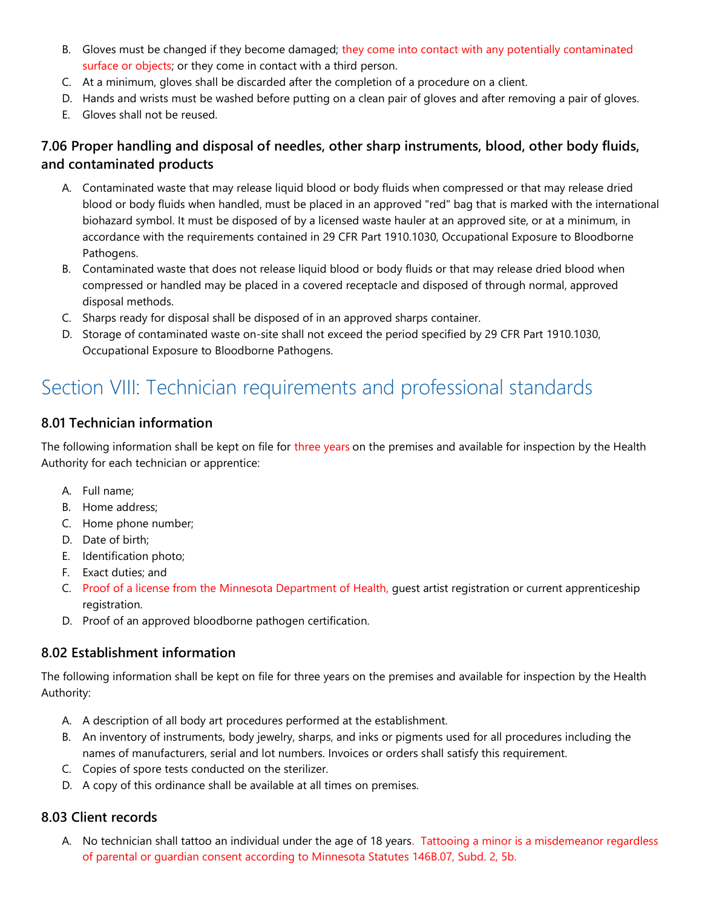- B. Gloves must be changed if they become damaged; they come into contact with any potentially contaminated surface or objects; or they come in contact with a third person.
- C. At a minimum, gloves shall be discarded after the completion of a procedure on a client.
- D. Hands and wrists must be washed before putting on a clean pair of gloves and after removing a pair of gloves.
- E. Gloves shall not be reused.

# 7.06 Proper handling and disposal of needles, other sharp instruments, blood, other body fluids, and contaminated products

- A. Contaminated waste that may release liquid blood or body fluids when compressed or that may release dried blood or body fluids when handled, must be placed in an approved "red" bag that is marked with the international biohazard symbol. It must be disposed of by a licensed waste hauler at an approved site, or at a minimum, in accordance with the requirements contained in 29 CFR Part 1910.1030, Occupational Exposure to Bloodborne Pathogens.
- B. Contaminated waste that does not release liquid blood or body fluids or that may release dried blood when compressed or handled may be placed in a covered receptacle and disposed of through normal, approved disposal methods.
- C. Sharps ready for disposal shall be disposed of in an approved sharps container.
- D. Storage of contaminated waste on-site shall not exceed the period specified by 29 CFR Part 1910.1030, Occupational Exposure to Bloodborne Pathogens.

# Section VIII: Technician requirements and professional standards

### 8.01 Technician information

The following information shall be kept on file for three years on the premises and available for inspection by the Health Authority for each technician or apprentice:

- A. Full name;
- B. Home address;
- C. Home phone number;
- D. Date of birth;
- E. Identification photo;
- F. Exact duties; and
- C. Proof of a license from the Minnesota Department of Health, guest artist registration or current apprenticeship registration.
- D. Proof of an approved bloodborne pathogen certification.

# 8.02 Establishment information

The following information shall be kept on file for three years on the premises and available for inspection by the Health Authority:

- A. A description of all body art procedures performed at the establishment.
- B. An inventory of instruments, body jewelry, sharps, and inks or pigments used for all procedures including the names of manufacturers, serial and lot numbers. Invoices or orders shall satisfy this requirement.
- C. Copies of spore tests conducted on the sterilizer.
- D. A copy of this ordinance shall be available at all times on premises.

# 8.03 Client records

A. No technician shall tattoo an individual under the age of 18 years. Tattooing a minor is a misdemeanor regardless of parental or guardian consent according to Minnesota Statutes 146B.07, Subd. 2, 5b.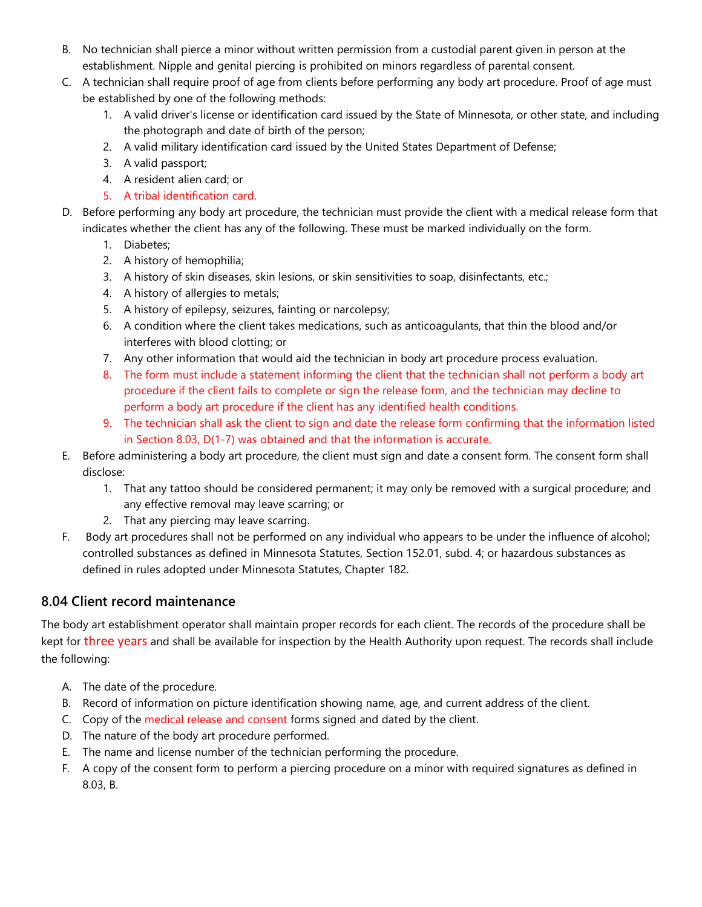- B. No technician shall pierce a minor without written permission from a custodial parent given in person at the establishment. Nipple and genital piercing is prohibited on minors regardless of parental consent.
- C. A technician shall require proof of age from clients before performing any body art procedure. Proof of age must be established by one of the following methods:
	- 1. A valid driver's license or identification card issued by the State of Minnesota, or other state, and including the photograph and date of birth of the person;
	- 2. A valid military identification card issued by the United States Department of Defense;
	- 3. A valid passport;
	- 4. A resident alien card; or
	- 5. A tribal identification card.
- D. Before performing any body art procedure, the technician must provide the client with a medical release form that indicates whether the client has any of the following. These must be marked individually on the form.
	- 1. Diabetes;
	- 2. A history of hemophilia;
	- 3. A history of skin diseases, skin lesions, or skin sensitivities to soap, disinfectants, etc.;
	- 4. A history of allergies to metals;
	- 5. A history of epilepsy, seizures, fainting or narcolepsy;
	- 6. A condition where the client takes medications, such as anticoagulants, that thin the blood and/or interferes with blood clotting; or
	- 7. Any other information that would aid the technician in body art procedure process evaluation.
	- 8. The form must include a statement informing the client that the technician shall not perform a body art procedure if the client fails to complete or sign the release form, and the technician may decline to perform a body art procedure if the client has any identified health conditions.
	- 9. The technician shall ask the client to sign and date the release form confirming that the information listed in Section 8.03, D(1-7) was obtained and that the information is accurate.
- E. Before administering a body art procedure, the client must sign and date a consent form. The consent form shall disclose:
	- 1. That any tattoo should be considered permanent; it may only be removed with a surgical procedure; and any effective removal may leave scarring; or
	- 2. That any piercing may leave scarring.
- F. Body art procedures shall not be performed on any individual who appears to be under the influence of alcohol; controlled substances as defined in Minnesota Statutes, Section 152.01, subd. 4; or hazardous substances as defined in rules adopted under Minnesota Statutes, Chapter 182.

# 8.04 Client record maintenance

The body art establishment operator shall maintain proper records for each client. The records of the procedure shall be kept for three years and shall be available for inspection by the Health Authority upon request. The records shall include the following:

- A. The date of the procedure.
- B. Record of information on picture identification showing name, age, and current address of the client.
- C. Copy of the medical release and consent forms signed and dated by the client.
- D. The nature of the body art procedure performed.
- E. The name and license number of the technician performing the procedure.
- F. A copy of the consent form to perform a piercing procedure on a minor with required signatures as defined in 8.03, B.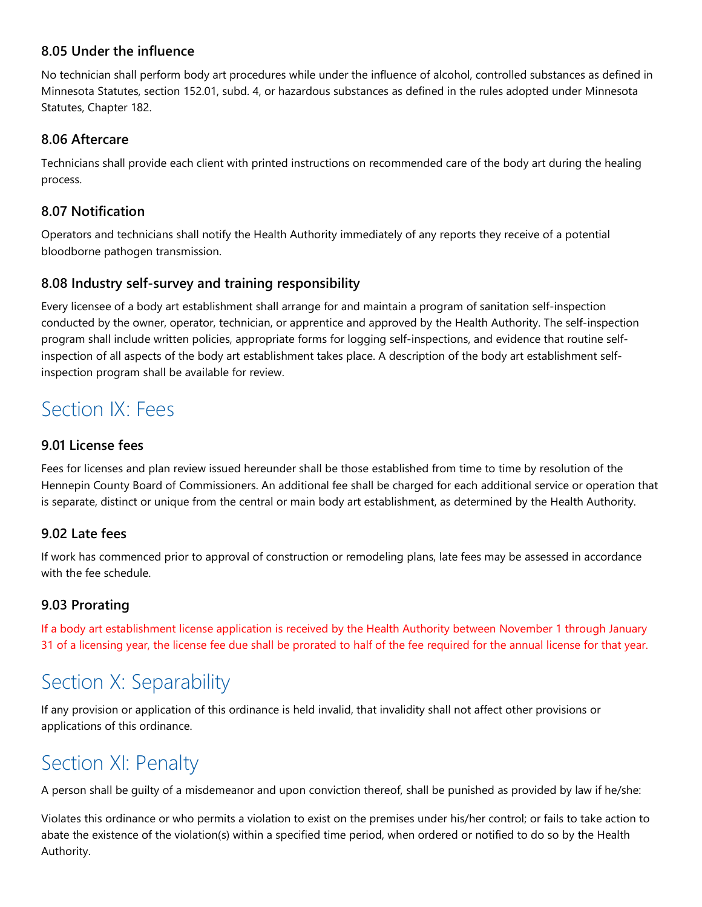### 8.05 Under the influence

No technician shall perform body art procedures while under the influence of alcohol, controlled substances as defined in Minnesota Statutes, section 152.01, subd. 4, or hazardous substances as defined in the rules adopted under Minnesota Statutes, Chapter 182.

### 8.06 Aftercare

Technicians shall provide each client with printed instructions on recommended care of the body art during the healing process.

### 8.07 Notification

Operators and technicians shall notify the Health Authority immediately of any reports they receive of a potential bloodborne pathogen transmission.

### 8.08 Industry self-survey and training responsibility

Every licensee of a body art establishment shall arrange for and maintain a program of sanitation self-inspection conducted by the owner, operator, technician, or apprentice and approved by the Health Authority. The self-inspection program shall include written policies, appropriate forms for logging self-inspections, and evidence that routine selfinspection of all aspects of the body art establishment takes place. A description of the body art establishment selfinspection program shall be available for review.

# Section IX: Fees

### 9.01 License fees

Fees for licenses and plan review issued hereunder shall be those established from time to time by resolution of the Hennepin County Board of Commissioners. An additional fee shall be charged for each additional service or operation that is separate, distinct or unique from the central or main body art establishment, as determined by the Health Authority.

### 9.02 Late fees

If work has commenced prior to approval of construction or remodeling plans, late fees may be assessed in accordance with the fee schedule.

# 9.03 Prorating

If a body art establishment license application is received by the Health Authority between November 1 through January 31 of a licensing year, the license fee due shall be prorated to half of the fee required for the annual license for that year.

# Section X: Separability

If any provision or application of this ordinance is held invalid, that invalidity shall not affect other provisions or applications of this ordinance.

# Section XI: Penalty

A person shall be guilty of a misdemeanor and upon conviction thereof, shall be punished as provided by law if he/she:

Violates this ordinance or who permits a violation to exist on the premises under his/her control; or fails to take action to abate the existence of the violation(s) within a specified time period, when ordered or notified to do so by the Health Authority.